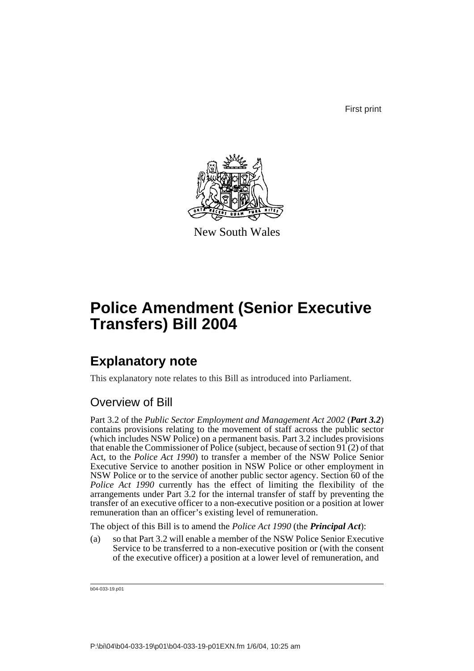First print



New South Wales

# **Police Amendment (Senior Executive Transfers) Bill 2004**

## **Explanatory note**

This explanatory note relates to this Bill as introduced into Parliament.

### Overview of Bill

Part 3.2 of the *Public Sector Employment and Management Act 2002* (*Part 3.2*) contains provisions relating to the movement of staff across the public sector (which includes NSW Police) on a permanent basis. Part 3.2 includes provisions that enable the Commissioner of Police (subject, because of section 91 (2) of that Act, to the *Police Act 1990*) to transfer a member of the NSW Police Senior Executive Service to another position in NSW Police or other employment in NSW Police or to the service of another public sector agency. Section 60 of the *Police Act 1990* currently has the effect of limiting the flexibility of the arrangements under Part 3.2 for the internal transfer of staff by preventing the transfer of an executive officer to a non-executive position or a position at lower remuneration than an officer's existing level of remuneration.

The object of this Bill is to amend the *Police Act 1990* (the *Principal Act*):

(a) so that Part 3.2 will enable a member of the NSW Police Senior Executive Service to be transferred to a non-executive position or (with the consent of the executive officer) a position at a lower level of remuneration, and

b04-033-19.p01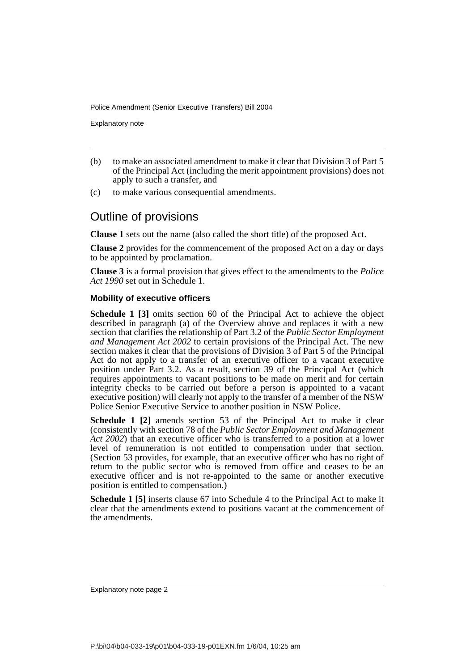Explanatory note

- (b) to make an associated amendment to make it clear that Division 3 of Part 5 of the Principal Act (including the merit appointment provisions) does not apply to such a transfer, and
- (c) to make various consequential amendments.

### Outline of provisions

**Clause 1** sets out the name (also called the short title) of the proposed Act.

**Clause 2** provides for the commencement of the proposed Act on a day or days to be appointed by proclamation.

**Clause 3** is a formal provision that gives effect to the amendments to the *Police Act 1990* set out in Schedule 1.

#### **Mobility of executive officers**

**Schedule 1 [3]** omits section 60 of the Principal Act to achieve the object described in paragraph (a) of the Overview above and replaces it with a new section that clarifies the relationship of Part 3.2 of the *Public Sector Employment and Management Act 2002* to certain provisions of the Principal Act. The new section makes it clear that the provisions of Division 3 of Part 5 of the Principal Act do not apply to a transfer of an executive officer to a vacant executive position under Part 3.2. As a result, section 39 of the Principal Act (which requires appointments to vacant positions to be made on merit and for certain integrity checks to be carried out before a person is appointed to a vacant executive position) will clearly not apply to the transfer of a member of the NSW Police Senior Executive Service to another position in NSW Police.

**Schedule 1 [2]** amends section 53 of the Principal Act to make it clear (consistently with section 78 of the *Public Sector Employment and Management Act 2002*) that an executive officer who is transferred to a position at a lower level of remuneration is not entitled to compensation under that section. (Section 53 provides, for example, that an executive officer who has no right of return to the public sector who is removed from office and ceases to be an executive officer and is not re-appointed to the same or another executive position is entitled to compensation.)

**Schedule 1 [5]** inserts clause 67 into Schedule 4 to the Principal Act to make it clear that the amendments extend to positions vacant at the commencement of the amendments.

Explanatory note page 2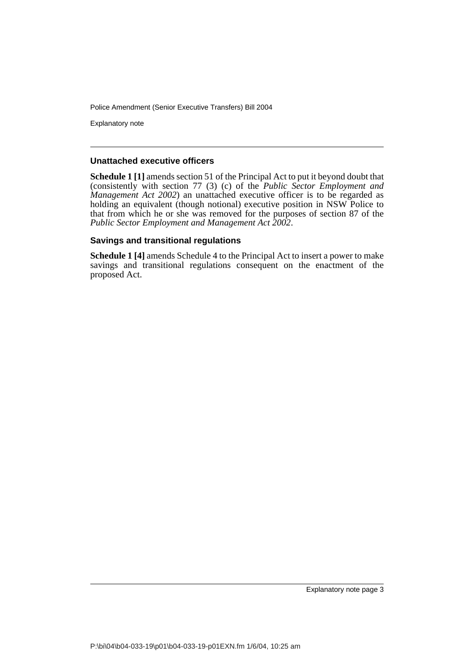Explanatory note

#### **Unattached executive officers**

**Schedule 1 [1]** amends section 51 of the Principal Act to put it beyond doubt that (consistently with section 77 (3) (c) of the *Public Sector Employment and Management Act 2002*) an unattached executive officer is to be regarded as holding an equivalent (though notional) executive position in NSW Police to that from which he or she was removed for the purposes of section 87 of the *Public Sector Employment and Management Act 2002*.

#### **Savings and transitional regulations**

**Schedule 1 [4]** amends Schedule 4 to the Principal Act to insert a power to make savings and transitional regulations consequent on the enactment of the proposed Act.

Explanatory note page 3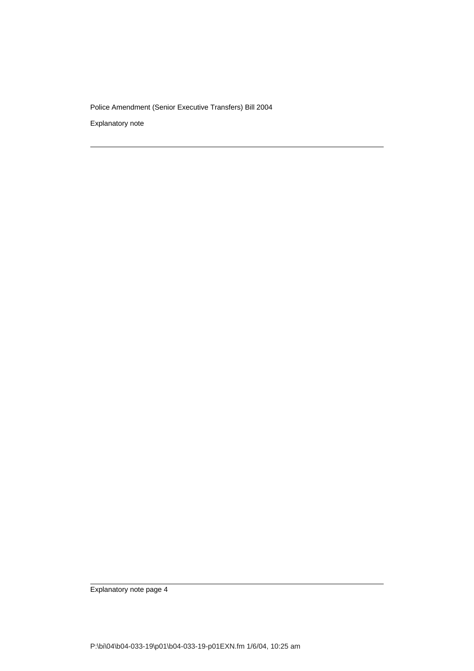Explanatory note

Explanatory note page 4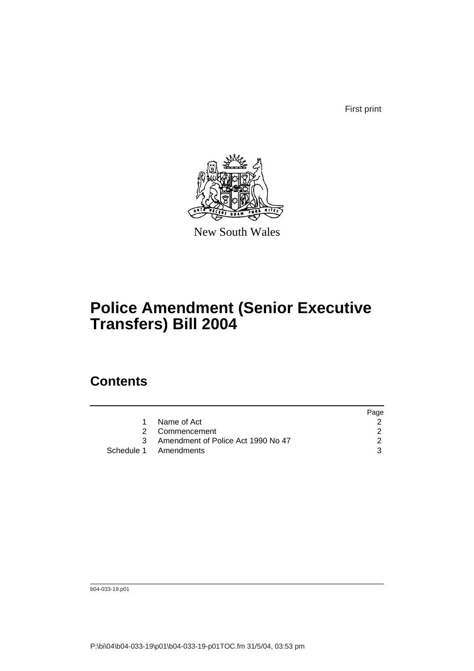First print



New South Wales

## **Police Amendment (Senior Executive Transfers) Bill 2004**

### **Contents**

|           |                                      | Page |
|-----------|--------------------------------------|------|
| $1 \quad$ | Name of Act                          |      |
|           | 2 Commencement                       |      |
|           | 3 Amendment of Police Act 1990 No 47 |      |
|           | Schedule 1 Amendments                |      |

b04-033-19.p01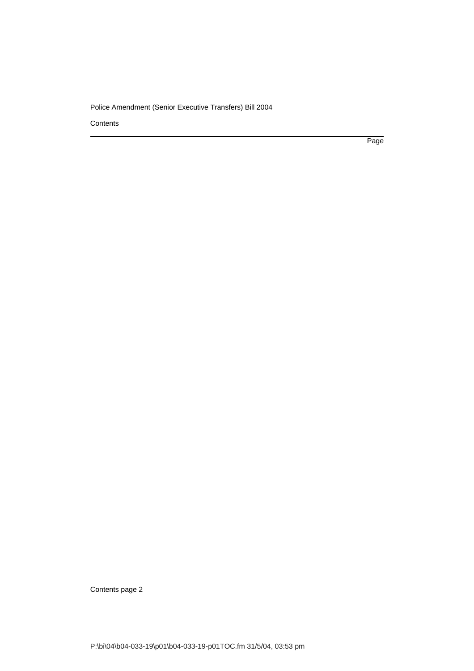**Contents** 

Page

Contents page 2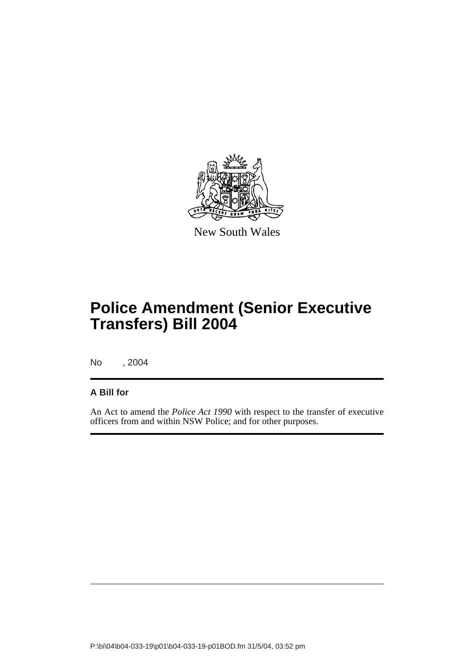

New South Wales

# **Police Amendment (Senior Executive Transfers) Bill 2004**

No , 2004

#### **A Bill for**

An Act to amend the *Police Act 1990* with respect to the transfer of executive officers from and within NSW Police; and for other purposes.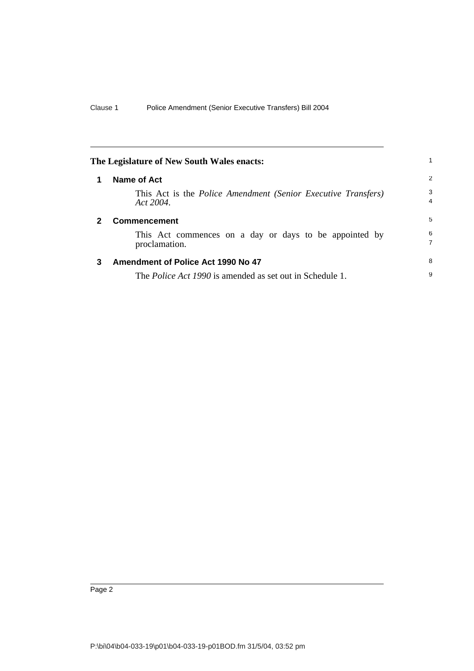<span id="page-7-2"></span><span id="page-7-1"></span><span id="page-7-0"></span>

| The Legislature of New South Wales enacts: |                                                                               |                     |  |  |
|--------------------------------------------|-------------------------------------------------------------------------------|---------------------|--|--|
| 1                                          | Name of Act                                                                   |                     |  |  |
|                                            | This Act is the Police Amendment (Senior Executive Transfers)<br>Act $2004$ . | 3<br>4              |  |  |
| $\mathbf{2}$                               | <b>Commencement</b>                                                           | 5                   |  |  |
|                                            | This Act commences on a day or days to be appointed by<br>proclamation.       | 6<br>$\overline{7}$ |  |  |
| 3                                          | Amendment of Police Act 1990 No 47                                            | 8                   |  |  |
|                                            | The <i>Police Act 1990</i> is amended as set out in Schedule 1.               | 9                   |  |  |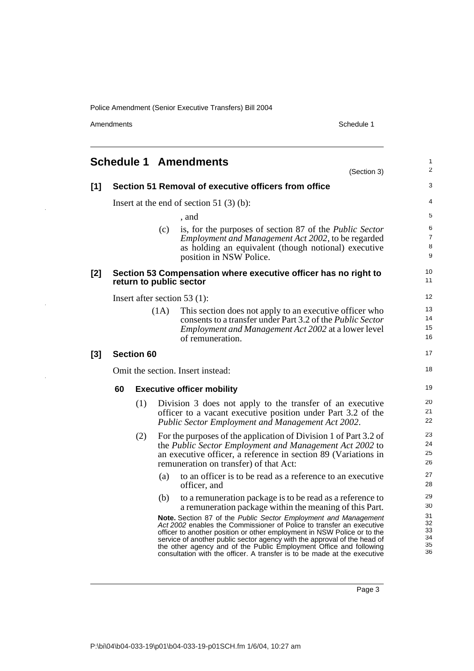Amendments Schedule 1

J.

 $\ddot{\phantom{1}}$ 

<span id="page-8-0"></span>

|       |                                   |                   |      | <b>Schedule 1 Amendments</b><br>(Section 3)                                                                                                     | $\mathbf{1}$<br>2   |
|-------|-----------------------------------|-------------------|------|-------------------------------------------------------------------------------------------------------------------------------------------------|---------------------|
| [1]   |                                   |                   |      | Section 51 Removal of executive officers from office                                                                                            | 3                   |
|       |                                   |                   |      |                                                                                                                                                 |                     |
|       |                                   |                   |      | Insert at the end of section 51 $(3)$ $(b)$ :                                                                                                   | 4                   |
|       |                                   |                   |      | , and                                                                                                                                           | 5                   |
|       |                                   |                   | (c)  | is, for the purposes of section 87 of the <i>Public Sector</i>                                                                                  | 6<br>$\overline{7}$ |
|       |                                   |                   |      | Employment and Management Act 2002, to be regarded<br>as holding an equivalent (though notional) executive                                      | 8                   |
|       |                                   |                   |      | position in NSW Police.                                                                                                                         | 9                   |
| $[2]$ |                                   |                   |      | Section 53 Compensation where executive officer has no right to                                                                                 | 10                  |
|       |                                   |                   |      | return to public sector                                                                                                                         | 11                  |
|       |                                   |                   |      | Insert after section 53 (1):                                                                                                                    | 12                  |
|       |                                   |                   | (1A) | This section does not apply to an executive officer who                                                                                         | 13                  |
|       |                                   |                   |      | consents to a transfer under Part 3.2 of the Public Sector                                                                                      | 14                  |
|       |                                   |                   |      | Employment and Management Act 2002 at a lower level<br>of remuneration.                                                                         | 15<br>16            |
| $[3]$ |                                   | <b>Section 60</b> |      |                                                                                                                                                 | 17                  |
|       | Omit the section. Insert instead: |                   |      | 18                                                                                                                                              |                     |
|       | 60                                |                   |      | <b>Executive officer mobility</b>                                                                                                               | 19                  |
|       |                                   |                   |      |                                                                                                                                                 | 20                  |
|       |                                   | (1)               |      | Division 3 does not apply to the transfer of an executive<br>officer to a vacant executive position under Part 3.2 of the                       | 21                  |
|       |                                   |                   |      | Public Sector Employment and Management Act 2002.                                                                                               | 22                  |
|       |                                   | (2)               |      | For the purposes of the application of Division 1 of Part 3.2 of                                                                                | 23                  |
|       |                                   |                   |      | the Public Sector Employment and Management Act 2002 to                                                                                         | 24<br>25            |
|       |                                   |                   |      | an executive officer, a reference in section 89 (Variations in<br>remuneration on transfer) of that Act:                                        | 26                  |
|       |                                   |                   | (a)  | to an officer is to be read as a reference to an executive                                                                                      | 27                  |
|       |                                   |                   |      | officer, and                                                                                                                                    | 28                  |
|       |                                   |                   | (b)  | to a remuneration package is to be read as a reference to<br>a remuneration package within the meaning of this Part.                            | 29<br>30            |
|       |                                   |                   |      | Note. Section 87 of the Public Sector Employment and Management                                                                                 | 31                  |
|       |                                   |                   |      | Act 2002 enables the Commissioner of Police to transfer an executive<br>officer to another position or other employment in NSW Police or to the | 32<br>33            |
|       |                                   |                   |      | service of another public sector agency with the approval of the head of                                                                        | 34<br>35            |
|       |                                   |                   |      | the other agency and of the Public Employment Office and following<br>consultation with the officer. A transfer is to be made at the executive  | 36                  |
|       |                                   |                   |      |                                                                                                                                                 |                     |

Page 3